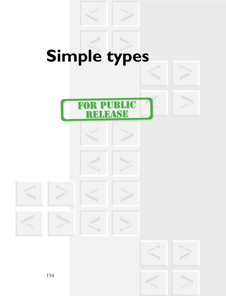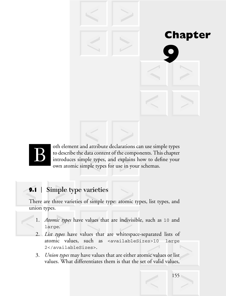

oth element and attribute declarations can use simple types<br>to describe the data content of the components. This chapter<br>introduces simple types, and explains how to define your<br>own atomic simple types for use in your sche to describe the data content of the components. This chapter introduces simple types, and explains how to define your own atomic simple types for use in your schemas.

# **9.1 Simple type varieties**

There are three varieties of simple type: atomic types, list types, and union types.

- 1. *Atomic types* have values that are indivisible, such as 10 and large.
- 2. *List types* have values that are whitespace-separated lists of atomic values, such as <availableSizes>10 large 2</availableSizes>.
- 3. *Union types* may have values that are either atomic values or list values. What differentiates them is that the set of valid values,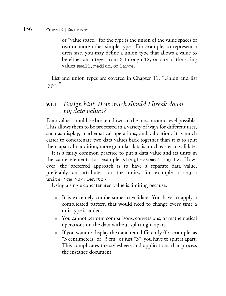or "value space," for the type is the union of the value spaces of two or more other simple types. For example, to represent a dress size, you may define a union type that allows a value to be either an integer from 2 through 18, or one of the string values small, medium, or large.

List and union types are covered in Chapter 11, "Union and list types."

### **9.1.1** *Design hint: How much should I break down my data values?*

Data values should be broken down to the most atomic level possible. This allows them to be processed in a variety of ways for different uses, such as display, mathematical operations, and validation. It is much easier to concatenate two data values back together than it is to split them apart. In addition, more granular data is much easier to validate.

It is a fairly common practice to put a data value and its units in the same element, for example <length>3cm</length>. However, the preferred approach is to have a separate data value, preferably an attribute, for the units, for example <length units="cm">3</length>.

Using a single concatenated value is limiting because:

- It is extremely cumbersome to validate. You have to apply a complicated pattern that would need to change every time a unit type is added.
- You cannot perform comparisons, conversions, or mathematical operations on the data without splitting it apart.
- $\blacksquare$  If you want to display the data item differently (for example, as "3 centimeters" or "3 cm" or just "3", you have to split it apart. This complicates the stylesheets and applications that process the instance document.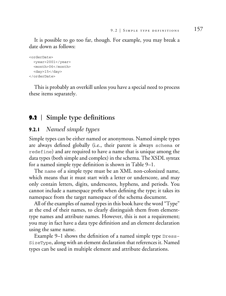#### 9.2 | Simple type definitions 157

It is possible to go too far, though. For example, you may break a date down as follows:

```
<orderDate>
  <year>2001</year>
  <month>06</month>
  <day>15</day>
</orderDate>
```
This is probably an overkill unless you have a special need to process these items separately.

### **9.2** Simple type definitions

### **9.2.1** *Named simple types*

Simple types can be either named or anonymous. Named simple types are always defined globally (i.e., their parent is always schema or redefine) and are required to have a name that is unique among the data types (both simple and complex) in the schema. The XSDL syntax for a named simple type definition is shown in Table 9–1.

The name of a simple type must be an XML non-colonized name, which means that it must start with a letter or underscore, and may only contain letters, digits, underscores, hyphens, and periods. You cannot include a namespace prefix when defining the type; it takes its namespace from the target namespace of the schema document.

All of the examples of named types in this book have the word "Type" at the end of their names, to clearly distinguish them from elementtype names and attribute names. However, this is not a requirement; you may in fact have a data type definition and an element declaration using the same name.

Example 9–1 shows the definition of a named simple type Dress-SizeType, along with an element declaration that references it. Named types can be used in multiple element and attribute declarations.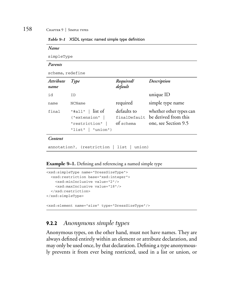#### 158 Chapter <sup>9</sup> <sup>|</sup> Simple types

*Table 9–1* XSDL syntax: named simple type definition

| Name              |                                                                             |                                          |                                                                         |  |  |
|-------------------|-----------------------------------------------------------------------------|------------------------------------------|-------------------------------------------------------------------------|--|--|
| simpleType        |                                                                             |                                          |                                                                         |  |  |
| Parents           |                                                                             |                                          |                                                                         |  |  |
| schema, redefine  |                                                                             |                                          |                                                                         |  |  |
| Attribute<br>name | Type                                                                        | Required/<br>default                     | Description                                                             |  |  |
| id                | ID                                                                          |                                          | unique ID                                                               |  |  |
| name              | NCName                                                                      | required                                 | simple type name                                                        |  |  |
| final             | "#all"   $list$ of<br>("extension"<br>"restriction"<br>"list"  <br>"union") | defaults to<br>finalDefault<br>of schema | whether other types can<br>be derived from this<br>one, see Section 9.5 |  |  |
| Content           |                                                                             |                                          |                                                                         |  |  |

annotation?, (restriction | list | union)

**Example 9–1.** Defining and referencing a named simple type

```
<xsd:simpleType name="DressSizeType">
  <xsd:restriction base="xsd:integer">
    <xsd:minInclusive value="2"/>
     <xsd:maxInclusive value="18"/>
  </xsd:restriction>
</xsd:simpleType>
```

```
<xsd:element name="size" type="DressSizeType"/>
```
### **9.2.2** *Anonymous simple types*

Anonymous types, on the other hand, must not have names. They are always defined entirely within an element or attribute declaration, and may only be used once, by that declaration. Defining a type anonymously prevents it from ever being restricted, used in a list or union, or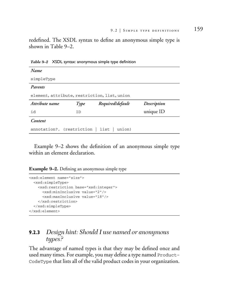|  | 9.2   SIMPLE TYPE DEFINITIONS | 159 |
|--|-------------------------------|-----|
|  |                               |     |

redefined. The XSDL syntax to define an anonymous simple type is shown in Table 9–2.

| Name                                          |           |                  |             |  |  |
|-----------------------------------------------|-----------|------------------|-------------|--|--|
| simpleType                                    |           |                  |             |  |  |
| Parents                                       |           |                  |             |  |  |
| element, attribute, restriction, list, union  |           |                  |             |  |  |
| Attribute name                                | Type      | Required/default | Description |  |  |
| id                                            | <b>ID</b> |                  | unique ID   |  |  |
| Content                                       |           |                  |             |  |  |
| annotation?, (restriction  <br>list<br>union) |           |                  |             |  |  |

*Table 9–2* XSDL syntax: anonymous simple type definition

Example 9–2 shows the definition of an anonymous simple type within an element declaration.

**Example 9–2.** Defining an anonymous simple type

```
<xsd:element name="size">
  <xsd:simpleType>
    <xsd:restriction base="xsd:integer">
      <xsd:minInclusive value="2"/>
      <xsd:maxInclusive value="18"/>
    </xsd:restriction>
  </xsd:simpleType>
</xsd:element>
```
### **9.2.3** *Design hint: Should I use named or anonymous types?*

The advantage of named types is that they may be defined once and used many times. For example, you may define a type named Product-CodeType that lists all of the valid product codes in your organization.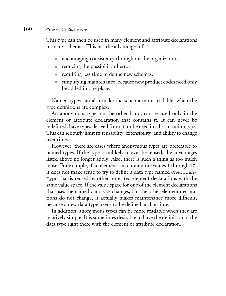This type can then be used in many element and attribute declarations in many schemas. This has the advantages of:

- **EXECUTE:** encouraging consistency throughout the organization,
- reducing the possibility of error,
- requiring less time to define new schemas,
- simplifying maintenance, because new product codes need only be added in one place.

Named types can also make the schema more readable, when the type definitions are complex.

An anonymous type, on the other hand, can be used only in the element or attribute declaration that contains it. It can never be redefined, have types derived from it, or be used in a list or union type. This can seriously limit its reusability, extensibility, and ability to change over time.

However, there are cases where anonymous types are preferable to named types. If the type is unlikely to ever be reused, the advantages listed above no longer apply. Also, there is such a thing as too much reuse. For example, if an element can contain the values 1 through 10, it does not make sense to try to define a data type named OneToTen-Type that is reused by other unrelated element declarations with the same value space. If the value space for one of the element declarations that uses the named data type changes, but the other element declarations do not change, it actually makes maintenance more difficult, because a new data type needs to be defined at that time.

In addition, anonymous types can be more readable when they are relatively simple. It is sometimes desirable to have the definition of the data type right there with the element or attribute declaration.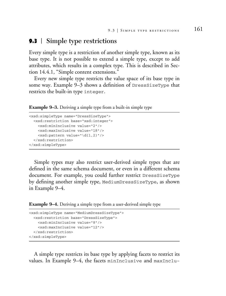```
9.3 | SIMPLE TYPE RESTRICTIONS 161
```
### **9.3** Simple type restrictions

Every simple type is a restriction of another simple type, known as its base type. It is not possible to extend a simple type, except to add attributes, which results in a complex type. This is described in Section 14.4.1, "Simple content extensions."

Every new simple type restricts the value space of its base type in some way. Example 9–3 shows a definition of DressSizeType that restricts the built-in type integer.

**Example 9–3.** Deriving a simple type from a built-in simple type

```
<xsd:simpleType name="DressSizeType">
  <xsd:restriction base="xsd:integer">
     <xsd:minInclusive value="2"/>
    <xsd:maxInclusive value="18"/>
    <xsd:pattern value="\d{1,2}"/>
  </xsd:restriction>
</xsd:simpleType>
```
Simple types may also restrict user-derived simple types that are defined in the same schema document, or even in a different schema document. For example, you could further restrict DressSizeType by defining another simple type, MediumDressSizeType, as shown in Example 9–4.

**Example 9–4.** Deriving a simple type from a user-derived simple type

```
<xsd:simpleType name="MediumDressSizeType">
  <xsd:restriction base="DressSizeType">
    <xsd:minInclusive value="8"/>
     <xsd:maxInclusive value="12"/>
  </xsd:restriction>
</xsd:simpleType>
```
A simple type restricts its base type by applying facets to restrict its values. In Example 9-4, the facets minInclusive and maxInclu-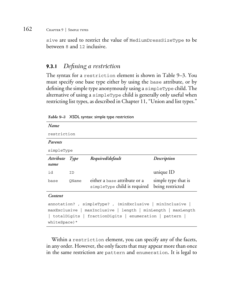sive are used to restrict the value of MediumDressSizeType to be between 8 and 12 inclusive.

## **9.3.1** *Defining a restriction*

The syntax for a restriction element is shown in Table 9–3. You must specify one base type either by using the base attribute, or by defining the simple type anonymously using a simpleType child. The alternative of using a simpleType child is generally only useful when restricting list types, as described in Chapter 11, "Union and list types."

| Name                                                            |       |                              |                     |  |  |  |  |
|-----------------------------------------------------------------|-------|------------------------------|---------------------|--|--|--|--|
| restriction                                                     |       |                              |                     |  |  |  |  |
| Parents                                                         |       |                              |                     |  |  |  |  |
| simpleType                                                      |       |                              |                     |  |  |  |  |
| Attribute                                                       | Type  | Required/default             | Description         |  |  |  |  |
| name                                                            |       |                              |                     |  |  |  |  |
| id                                                              | ID    |                              | unique ID           |  |  |  |  |
| base                                                            | OName | either a base attribute or a | simple type that is |  |  |  |  |
|                                                                 |       | simpleType child is required | being restricted    |  |  |  |  |
| Content                                                         |       |                              |                     |  |  |  |  |
| $\alpha$ annotation?, simpleType?, (minExclusive   minInclusive |       |                              |                     |  |  |  |  |
| maxExclusive   maxInclusive   length   minLength   maxLength    |       |                              |                     |  |  |  |  |
| totalDigits   fractionDigits   enumeration   pattern            |       |                              |                     |  |  |  |  |
| whiteSpace $,*$                                                 |       |                              |                     |  |  |  |  |

*Table 9–3* XSDL syntax: simple type restriction

Within a restriction element, you can specify any of the facets, in any order. However, the only facets that may appear more than once in the same restriction are pattern and enumeration. It is legal to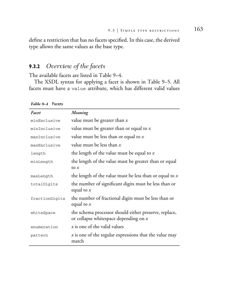### 9.3 | SIMPLE TYPE RESTRICTIONS  $163$

define a restriction that has no facets specified. In this case, the derived type allows the same values as the base type.

# **9.3.2** *Overview of the facets*

The available facets are listed in Table 9–4.

The XSDL syntax for applying a facet is shown in Table 9–5. All facets must have a value attribute, which has different valid values

| Table 9–4 | Facets |
|-----------|--------|
|           |        |

| Facet          | <b>Meaning</b>                                                                                   |
|----------------|--------------------------------------------------------------------------------------------------|
| minExclusive   | value must be greater than $x$                                                                   |
| minInclusive   | value must be greater than or equal to $x$                                                       |
| maxInclusive   | value must be less than or equal to $x$                                                          |
| maxExclusive   | value must be less than $x$                                                                      |
| length         | the length of the value must be equal to $x$                                                     |
| minLength      | the length of the value must be greater than or equal<br>to $x$                                  |
| maxLength      | the length of the value must be less than or equal to $x$                                        |
| totalDigits    | the number of significant digits must be less than or<br>equal to $x$                            |
| fractionDigits | the number of fractional digits must be less than or<br>equal to $x$                             |
| whiteSpace     | the schema processor should either preserve, replace,<br>or collapse whitespace depending on $x$ |
| enumeration    | $x$ is one of the valid values                                                                   |
| pattern        | $x$ is one of the regular expressions that the value may<br>match                                |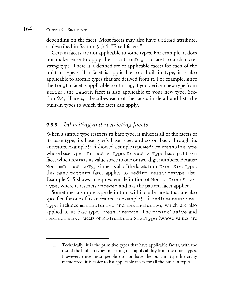depending on the facet. Most facets may also have a fixed attribute, as described in Section 9.3.4, "Fixed facets."

Certain facets are not applicable to some types. For example, it does not make sense to apply the fractionDigits facet to a character string type. There is a defined set of applicable facets for each of the built-in types<sup>1</sup>. If a facet is applicable to a built-in type, it is also applicable to atomic types that are derived from it. For example, since the length facet is applicable to string, if you derive a new type from string, the length facet is also applicable to your new type. Section 9.4, "Facets," describes each of the facets in detail and lists the built-in types to which the facet can apply.

### **9.3.3** *Inheriting and restricting facets*

When a simple type restricts its base type, it inherits all of the facets of its base type, its base type's base type, and so on back through its ancestors. Example 9–4 showed a simple type MediumDressSizeType whose base type is DressSizeType. DressSizeType has a pattern facet which restricts its value space to one or two-digit numbers. Because MediumDressSizeType inherits all of the facets from DressSizeType, this same pattern facet applies to MediumDressSizeType also. Example 9–5 shows an equivalent definition of MediumDressSize-Type, where it restricts integer and has the pattern facet applied.

Sometimes a simple type definition will include facets that are also specified for one of its ancestors. In Example 9–4, MediumDressSize-Type includes minInclusive and maxInclusive, which are also applied to its base type, DressSizeType. The minInclusive and maxInclusive facets of MediumDressSizeType (whose values are

<sup>1.</sup> Technically, it is the primitive types that have applicable facets, with the rest of the built-in types inheriting that applicability from their base types. However, since most people do not have the built-in type hierarchy memorized, it is easier to list applicable facets for all the built-in types.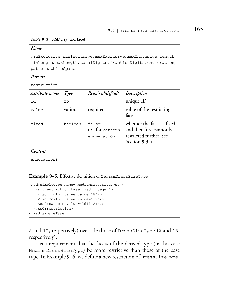|  | 9.3   SIMPLE TYPE RESTRICTIONS | 165 |
|--|--------------------------------|-----|
|  |                                |     |

#### *Table 9–5* XSDL syntax: facet

#### *Name*

minExclusive, minInclusive, maxExclusive, maxInclusive, length, minLength, maxLength, totalDigits, fractionDigits, enumeration, pattern, whiteSpace

| Parents        |         |                                           |                                                                                                   |
|----------------|---------|-------------------------------------------|---------------------------------------------------------------------------------------------------|
| restriction    |         |                                           |                                                                                                   |
| Attribute name | Type    | Required/default                          | Description                                                                                       |
| id             | ID      |                                           | unique ID                                                                                         |
| value          | various | required                                  | value of the restricting<br>facet                                                                 |
| fixed          | boolean | false;<br>n/a for pattern,<br>enumeration | whether the facet is fixed<br>and therefore cannot be<br>restricted further, see<br>Section 9.3.4 |
| Content        |         |                                           |                                                                                                   |
| annotation?    |         |                                           |                                                                                                   |

**Example 9–5.** Effective definition of MediumDressSizeType

```
<xsd:simpleType name="MediumDressSizeType">
  <xsd:restriction base="xsd:integer">
    <xsd:minInclusive value="8"/>
    <xsd:maxInclusive value="12"/>
    <xsd:pattern value="\d{1,2}"/>
  </xsd:restriction>
</xsd:simpleType>
```
8 and 12, respectively) override those of DressSizeType (2 and 18, respectively).

It is a requirement that the facets of the derived type (in this case MediumDressSizeType) be more restrictive than those of the base type. In Example 9–6, we define a new restriction of DressSizeType,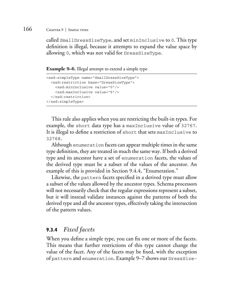called SmallDressSizeType, and set minInclusive to 0. This type definition is illegal, because it attempts to expand the value space by allowing 0, which was not valid for DressSizeType.

**Example 9–6.** Illegal attempt to extend a simple type

```
<xsd:simpleType name="SmallDressSizeType">
  <xsd:restriction base="DressSizeType">
    <xsd:minInclusive value="0"/>
    <xsd:maxInclusive value="6"/>
  </xsd:restriction>
</xsd:simpleType>
```
This rule also applies when you are restricting the built-in types. For example, the short data type has a maxInclusive value of 32767. It is illegal to define a restriction of short that sets maxInclusive to 32768.

Although enumeration facets can appear multiple times in the same type definition, they are treated in much the same way. If both a derived type and its ancestor have a set of enumeration facets, the values of the derived type must be a subset of the values of the ancestor. An example of this is provided in Section 9.4.4, "Enumeration."

Likewise, the pattern facets specified in a derived type must allow a subset of the values allowed by the ancestor types. Schema processors will not necessarily check that the regular expressions represent a subset, but it will instead validate instances against the patterns of both the derived type and all the ancestor types, effectively taking the intersection of the pattern values.

#### **9.3.4** *Fixed facets*

When you define a simple type, you can fix one or more of the facets. This means that further restrictions of this type cannot change the value of the facet. Any of the facets may be fixed, with the exception of pattern and enumeration. Example 9–7 shows our DressSize-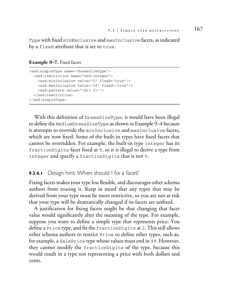### 9.3 | SIMPLE TYPE RESTRICTIONS  $167$

Type with fixed minExclusive and maxInclusive facets, as indicated by a fixed attribute that is set to true.

**Example 9–7.** Fixed facets

```
<xsd:simpleType name="DressSizeType">
  <xsd:restriction base="xsd:integer">
    <xsd:minInclusive value="2" fixed="true"/>
    <xsd:maxInclusive value="18" fixed="true"/>
     <xsd:pattern value="\d{1,2}"/>
   </xsd:restriction>
</xsd:simpleType>
```
With this definition of DressSizeType, it would have been illegal to define the MediumDressSizeType as shown in Example 9–4 because it attempts to override the minInclusive and maxInclusive facets, which are now fixed. Some of the built-in types have fixed facets that cannot be overridden. For example, the built-in type integer has its fractionDigits facet fixed at 0, so it is illegal to derive a type from integer and specify a fractionDigits that is not 0.

#### **9.3.4.1** Design hint: When should I fix a facet?

Fixing facets makes your type less flexible, and discourages other schema authors from reusing it. Keep in mind that any types that may be derived from your type must be more restrictive, so you are not at risk that your type will be dramatically changed if its facets are unfixed.

A justification for fixing facets might be that changing that facet value would significantly alter the meaning of the type. For example, suppose you want to define a simple type that represents price. You define a Price type, and fix the fractionDigits at 2. This still allows other schema authors to restrict Price to define other types, such as, for example, a SalePrice type whose values must end in 99. However, they cannot modify the fractionDigits of the type, because this would result in a type not representing a price with both dollars and cents.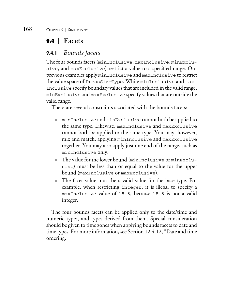### **9.4 Facets**

### **9.4.1** *Bounds facets*

The four bounds facets (minInclusive, maxInclusive, minExclusive, and maxExclusive) restrict a value to a specified range. Our previous examples apply minInclusive and maxInclusive to restrict the value space of DressSizeType. While minInclusive and max-Inclusive specify boundary values that are included in the valid range, minExclusive and maxExclusive specify values that are outside the valid range.

There are several constraints associated with the bounds facets:

- $\blacksquare$  minInclusive and minExclusive cannot both be applied to the same type. Likewise, maxInclusive and maxExclusive cannot both be applied to the same type. You may, however, mix and match, applying minInclusive and maxExclusive together. You may also apply just one end of the range, such as minInclusive only.
- The value for the lower bound (minInclusive or minExclusive) must be less than or equal to the value for the upper bound (maxInclusive or maxExclusive).
- The facet value must be a valid value for the base type. For example, when restricting integer, it is illegal to specify a maxInclusive value of 18.5, because 18.5 is not a valid integer.

The four bounds facets can be applied only to the date/time and numeric types, and types derived from them. Special consideration should be given to time zones when applying bounds facets to date and time types. For more information, see Section 12.4.12, "Date and time ordering."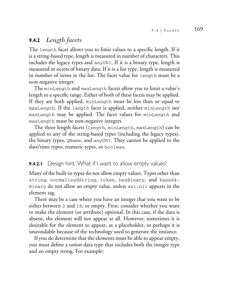9.4 | FACETS  $169$ 

### **9.4.2** *Length facets*

The length facet allows you to limit values to a specific length. If it is a string-based type, length is measured in number of characters. This includes the legacy types and anyURI. If it is a binary type, length is measured in octets of binary data. If it is a list type, length is measured in number of items in the list. The facet value for length must be a non-negative integer.

The minLength and maxLength facets allow you to limit a value's length to a specific range. Either of both of these facets may be applied. If they are both applied, minLength must be less than or equal to maxLength. If the length facet is applied, neither minLength nor maxLength may be applied. The facet values for minLength and maxLength must be non-negative integers.

The three length facets (length, minLength, maxLength) can be applied to any of the string-based types (including the legacy types), the binary types, QName, and anyURI. They cannot be applied to the date/time types, numeric types, or boolean.

#### **9.4.2.1** Design hint: What if I want to allow empty values?

Many of the built-in types do not allow empty values. Types other than string, normalizedString, token, hexBinary, and base64- Binary do not allow an empty value, unless  $xsi:ni1$  appears in the element tag.

There may be a case where you have an integer that you want to be either between 2 and 18, or empty. First, consider whether you want to make the element (or attribute) optional. In this case, if the data is absent, the element will not appear at all. However, sometimes it is desirable for the element to appear, as a placeholder, or perhaps it is unavoidable because of the technology used to generate the instance.

If you do determine that the elements must be able to appear empty, you must define a union data type that includes both the integer type and an empty string. For example: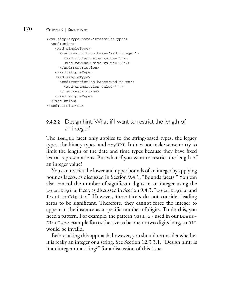```
170 CHAPTER 9 | SIMPLE TYPES
```

```
<xsd:simpleType name="DressSizeType">
   <xsd:union>
     <xsd:simpleType>
       <xsd:restriction base="xsd:integer">
         <xsd:minInclusive value="2"/>
         <xsd:maxInclusive value="18"/>
       </xsd:restriction>
     </xsd:simpleType>
     <xsd:simpleType>
       <xsd:restriction base="xsd:token">
         <xsd:enumeration value=""/>
       </xsd:restriction>
     </xsd:simpleType>
   </xsd:union>
</xsd:simpleType>
```
### **9.4.2.2** Design hint: What if I want to restrict the length of an integer?

The length facet only applies to the string-based types, the legacy types, the binary types, and anyURI. It does not make sense to try to limit the length of the date and time types because they have fixed lexical representations. But what if you want to restrict the length of an integer value?

You can restrict the lower and upper bounds of an integer by applying bounds facets, as discussed in Section 9.4.1, "Bounds facets." You can also control the number of significant digits in an integer using the totalDigits facet, as discussed in Section 9.4.3, "totalDigits and fractionDigits." However, these facets do not consider leading zeros to be significant. Therefore, they cannot force the integer to appear in the instance as a specific number of digits. To do this, you need a pattern. For example, the pattern  $\dagger$ d{1,2} used in our Dress-SizeType example forces the size to be one or two digits long, so 012 would be invalid.

Before taking this approach, however, you should reconsider whether it is really an integer or a string. See Section 12.3.3.1, "Design hint: Is it an integer or a string?" for a discussion of this issue.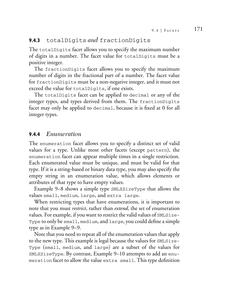9.4 | FACETS  $171$ 

#### **9.4.3** totalDigits *and* fractionDigits

The totalDigits facet allows you to specify the maximum number of digits in a number. The facet value for totalDigits must be a positive integer.

The fractionDigits facet allows you to specify the maximum number of digits in the fractional part of a number. The facet value for fractionDigits must be a non-negative integer, and it must not exceed the value for totalDigits, if one exists.

The totalDigits facet can be applied to decimal or any of the integer types, and types derived from them. The fractionDigits facet may only be applied to decimal, because it is fixed at 0 for all integer types.

#### **9.4.4** *Enumeration*

The enumeration facet allows you to specify a distinct set of valid values for a type. Unlike most other facets (except pattern), the enumeration facet can appear multiple times in a single restriction. Each enumerated value must be unique, and must be valid for that type. If it is a string-based or binary data type, you may also specify the empty string in an enumeration value, which allows elements or attributes of that type to have empty values.

Example 9–8 shows a simple type SMLXSizeType that allows the values small, medium, large, and extra large.

When restricting types that have enumerations, it is important to note that you must *restrict*, rather than *extend*, the set of enumeration values. For example, if you want to restrict the valid values of SMLSize-Type to only be small, medium, and large, you could define a simple type as in Example 9–9.

Note that you need to repeat all of the enumeration values that apply to the new type. This example is legal because the values for SMLSize-Type (small, medium, and large) are a subset of the values for SMLXSizeType. By contrast, Example 9–10 attempts to add an enumeration facet to allow the value extra small. This type definition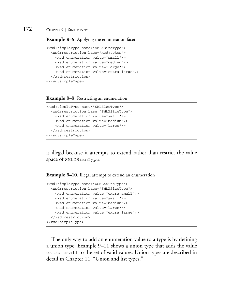#### **Example 9–8.** Applying the enumeration facet

```
<xsd:simpleType name="SMLXSizeType">
   <xsd:restriction base="xsd:token">
     <xsd:enumeration value="small"/>
     <xsd:enumeration value="medium"/>
     <xsd:enumeration value="large"/>
     <xsd:enumeration value="extra large"/>
   </xsd:restriction>
</xsd:simpleType>
```
#### **Example 9–9.** Restricting an enumeration

```
<xsd:simpleType name="SMLSizeType">
   <xsd:restriction base="SMLXSizeType">
     <xsd:enumeration value="small"/>
     <xsd:enumeration value="medium"/>
     <xsd:enumeration value="large"/>
   </xsd:restriction>
</xsd:simpleType>
```
is illegal because it attempts to extend rather than restrict the value space of SMLXSizeType.

**Example 9–10.** Illegal attempt to extend an enumeration

```
<xsd:simpleType name="XSMLXSizeType">
  <xsd:restriction base="SMLXSizeType">
     <xsd:enumeration value="extra small"/>
    <xsd:enumeration value="small"/>
    <xsd:enumeration value="medium"/>
    <xsd:enumeration value="large"/>
    <xsd:enumeration value="extra large"/>
  </xsd:restriction>
</xsd:simpleType>
```
The only way to add an enumeration value to a type is by defining a union type. Example 9–11 shows a union type that adds the value extra small to the set of valid values. Union types are described in detail in Chapter 11, "Union and list types."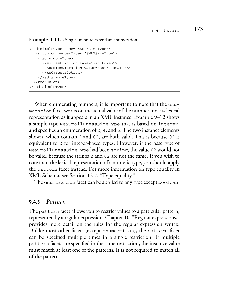9.4 | FACETS  $173$ 

**Example 9–11.** Using a union to extend an enumeration

```
<xsd:simpleType name="XSMLXSizeType">
  <xsd:union memberTypes="SMLXSizeType">
    <xsd:simpleType>
      <xsd:restriction base="xsd:token">
         <xsd:enumeration value="extra small"/>
      </xsd:restriction>
    </xsd:simpleType>
  </xsd:union>
</xsd:simpleType>
```
When enumerating numbers, it is important to note that the enumeration facet works on the actual value of the number, not its lexical representation as it appears in an XML instance. Example 9–12 shows a simple type NewSmallDressSizeType that is based on integer, and specifies an enumeration of 2, 4, and 6. The two instance elements shown, which contain 2 and 02, are both valid. This is because 02 is equivalent to 2 for integer-based types. However, if the base type of NewSmallDressSizeType had been string, the value 02 would not be valid, because the strings 2 and 02 are not the same. If you wish to constrain the lexical representation of a numeric type, you should apply the pattern facet instead. For more information on type equality in XML Schema, see Section 12.7, "Type equality."

The enumeration facet can be applied to any type except boolean.

#### **9.4.5** *Pattern*

The pattern facet allows you to restrict values to a particular pattern, represented by a regular expression. Chapter 10, "Regular expressions," provides more detail on the rules for the regular expression syntax. Unlike most other facets (except enumeration), the pattern facet can be specified multiple times in a single restriction. If multiple pattern facets are specified in the same restriction, the instance value must match at least one of the patterns. It is not required to match all of the patterns.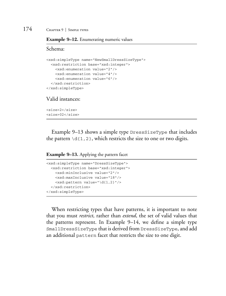#### **Example 9–12.** Enumerating numeric values

#### Schema:

```
<xsd:simpleType name="NewSmallDressSizeType">
  <xsd:restriction base="xsd:integer">
     <xsd:enumeration value="2"/>
     <xsd:enumeration value="4"/>
     <xsd:enumeration value="6"/>
   </xsd:restriction>
</xsd:simpleType>
```
#### Valid instances:

<size>2</size> <size>02</size>

Example 9–13 shows a simple type DressSizeType that includes the pattern  $\setminus d$ {1,2}, which restricts the size to one or two digits.

**Example 9–13.** Applying the pattern facet

```
<xsd:simpleType name="DressSizeType">
   <xsd:restriction base="xsd:integer">
     <xsd:minInclusive value="2"/>
     <xsd:maxInclusive value="18"/>
     <xsd:pattern value="\d{1,2}"/>
   </xsd:restriction>
</xsd:simpleType>
```
When restricting types that have patterns, it is important to note that you must *restrict*, rather than *extend*, the set of valid values that the patterns represent. In Example 9–14, we define a simple type SmallDressSizeType that is derived from DressSizeType, and add an additional pattern facet that restricts the size to one digit.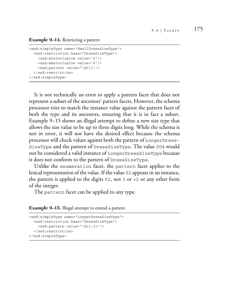9.4 | FACETS  $175$ 

**Example 9–14.** Restricting a pattern

```
<xsd:simpleType name="SmallDressSizeType">
  <xsd:restriction base="DressSizeType">
    <xsd:minInclusive value="2"/>
    <xsd:maxInclusive value="6"/>
     <xsd:pattern value="\d{1}"/>
  </xsd:restriction>
</xsd:simpleType>
```
It is not technically an error to apply a pattern facet that does not represent a subset of the ancestors' pattern facets. However, the schema processor tries to match the instance value against the pattern facet of both the type and its ancestors, ensuring that it is in fact a subset. Example 9–15 shows an illegal attempt to define a new size type that allows the size value to be up to three digits long. While the schema is not in error, it will not have the desired effect because the schema processor will check values against both the pattern of LongerDress-SizeType and the pattern of DressSizeType. The value 004 would not be considered a valid instance of LongerDressSizeType because it does not conform to the pattern of DressSizeType.

Unlike the enumeration facet, the pattern facet applies to the lexical representation of the value. If the value 02 appears in an instance, the pattern is applied to the digits  $02$ , not  $2$  or  $+2$  or any other form of the integer.

The pattern facet can be applied to any type.

**Example 9–15.** Illegal attempt to extend a pattern

```
<xsd:simpleType name="LongerDressSizeType">
  <xsd:restriction base="DressSizeType">
    <xsd:pattern value="\d{1,3}"/>
  </xsd:restriction>
</xsd:simpleType>
```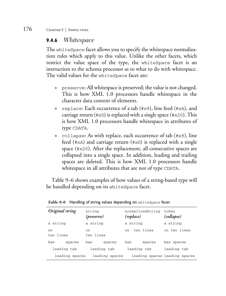### **9.4.6** *Whitespace*

The whiteSpace facet allows you to specify the whitespace normalization rules which apply to this value. Unlike the other facets, which restrict the value space of the type, the whiteSpace facet is an instruction to the schema processor as to what to do with whitespace. The valid values for the whiteSpace facet are:

- $\blacksquare$  preserve: All whitespace is preserved; the value is not changed. This is how XML 1.0 processors handle whitespace in the character data content of elements.
- **Follace:** Each occurrence of a tab  $(\text{\#x9})$ , line feed  $(\text{\#xA})$ , and carriage return ( $\#xD$ ) is replaced with a single space ( $\#x20$ ). This is how XML 1.0 processors handle whitespace in attributes of type CDATA.
- $\blacksquare$  collapse: As with replace, each occurrence of tab ( $\#x9$ ), line feed (#xA) and carriage return (#xD) is replaced with a single space (#x20). After the replacement, all consecutive spaces are collapsed into a single space. In addition, leading and trailing spaces are deleted. This is how XML 1.0 processors handle whitespace in all attributes that are not of type CDATA.

Table 9–6 shows examples of how values of a string-based type will be handled depending on its whiteSpace facet.

| Original string | string         | normalizedString | token                         |
|-----------------|----------------|------------------|-------------------------------|
|                 | (preserve)     | (replace)        | (collapse)                    |
| a string        | a string       | a string         | a string                      |
| on              | on.            | two lines        | on two lines                  |
| two lines       | two lines      | on.              |                               |
| has             | has            | has              | has spaces                    |
| spaces          | spaces         | spaces           |                               |
| leading tab     | leading tab    | leading tab      | leading tab                   |
| leading spaces  | leading spaces |                  | leading spaces leading spaces |

Table 9-6 Handling of string values depending on whiteSpace facet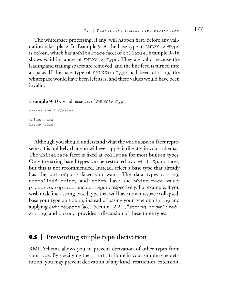#### 9.5 | PREVENTING SIMPLE TYPE DERIVATION  $177$

The whitespace processing, if any, will happen first, before any validation takes place. In Example 9–8, the base type of SMLXSizeType is token, which has a whiteSpace facet of collapse. Example 9–16 shows valid instances of SMLXSizeType. They are valid because the leading and trailing spaces are removed, and the line feed is turned into a space. If the base type of SMLXSizeType had been string, the whitespace would have been left as is, and these values would have been invalid.

**Example 9–16.** Valid instances of SMLXSizeType

```
<size> small </size>
<size>extra
large</size>
```
Although you should understand what the whiteSpace facet represents, it is unlikely that you will ever apply it directly in your schemas. The whiteSpace facet is fixed at collapse for most built-in types. Only the string-based types can be restricted by a whiteSpace facet, but this is not recommended. Instead, select a base type that already has the whiteSpace facet you want. The data types string, normalizedString, and token have the whiteSpace values preserve, replace, and collapse, respectively. For example, if you wish to define a string-based type that will have its whitespace collapsed, base your type on token, instead of basing your type on string and applying a whiteSpace facet. Section 12.2.1, "string, normalized-String, and token," provides a discussion of these three types.

### **9.5** Preventing simple type derivation

XML Schema allows you to prevent derivation of other types from your type. By specifying the final attribute in your simple type definition, you may prevent derivation of any kind (restriction, extension,